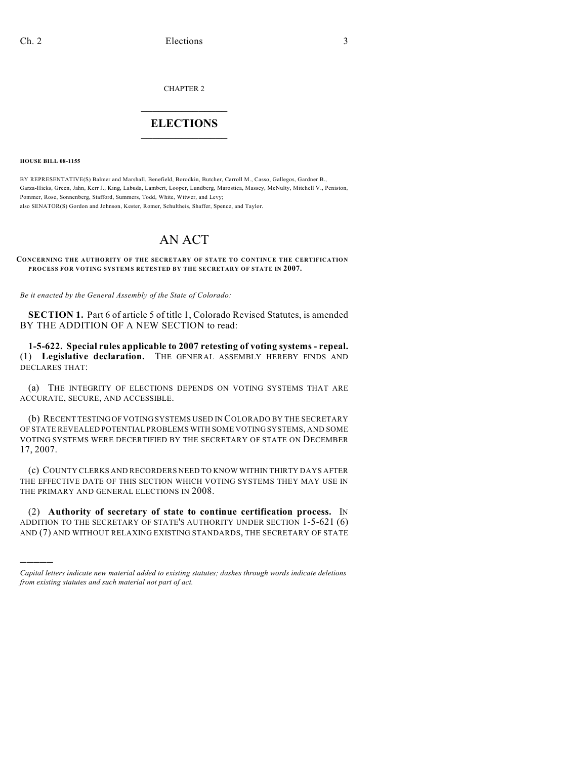CHAPTER 2

## $\mathcal{L}_\text{max}$  . The set of the set of the set of the set of the set of the set of the set of the set of the set of the set of the set of the set of the set of the set of the set of the set of the set of the set of the set **ELECTIONS**  $\_$

**HOUSE BILL 08-1155**

)))))

BY REPRESENTATIVE(S) Balmer and Marshall, Benefield, Borodkin, Butcher, Carroll M., Casso, Gallegos, Gardner B., Garza-Hicks, Green, Jahn, Kerr J., King, Labuda, Lambert, Looper, Lundberg, Marostica, Massey, McNulty, Mitchell V., Peniston, Pommer, Rose, Sonnenberg, Stafford, Summers, Todd, White, Witwer, and Levy; also SENATOR(S) Gordon and Johnson, Kester, Romer, Schultheis, Shaffer, Spence, and Taylor.

## AN ACT

## **CONCERNING THE AUTHORITY OF THE SECRETARY OF STATE TO CONTINUE THE CERTIFICATION PROCESS FOR VOTING SYSTEMS RETESTED BY THE SECRETARY OF STATE IN 2007.**

*Be it enacted by the General Assembly of the State of Colorado:*

**SECTION 1.** Part 6 of article 5 of title 1, Colorado Revised Statutes, is amended BY THE ADDITION OF A NEW SECTION to read:

**1-5-622. Special rules applicable to 2007 retesting of voting systems - repeal.** (1) **Legislative declaration.** THE GENERAL ASSEMBLY HEREBY FINDS AND DECLARES THAT:

(a) THE INTEGRITY OF ELECTIONS DEPENDS ON VOTING SYSTEMS THAT ARE ACCURATE, SECURE, AND ACCESSIBLE.

(b) RECENT TESTING OF VOTING SYSTEMS USED IN COLORADO BY THE SECRETARY OF STATE REVEALED POTENTIAL PROBLEMS WITH SOME VOTING SYSTEMS, AND SOME VOTING SYSTEMS WERE DECERTIFIED BY THE SECRETARY OF STATE ON DECEMBER 17, 2007.

(c) COUNTY CLERKS AND RECORDERS NEED TO KNOW WITHIN THIRTY DAYS AFTER THE EFFECTIVE DATE OF THIS SECTION WHICH VOTING SYSTEMS THEY MAY USE IN THE PRIMARY AND GENERAL ELECTIONS IN 2008.

(2) **Authority of secretary of state to continue certification process.** IN ADDITION TO THE SECRETARY OF STATE'S AUTHORITY UNDER SECTION 1-5-621 (6) AND (7) AND WITHOUT RELAXING EXISTING STANDARDS, THE SECRETARY OF STATE

*Capital letters indicate new material added to existing statutes; dashes through words indicate deletions from existing statutes and such material not part of act.*